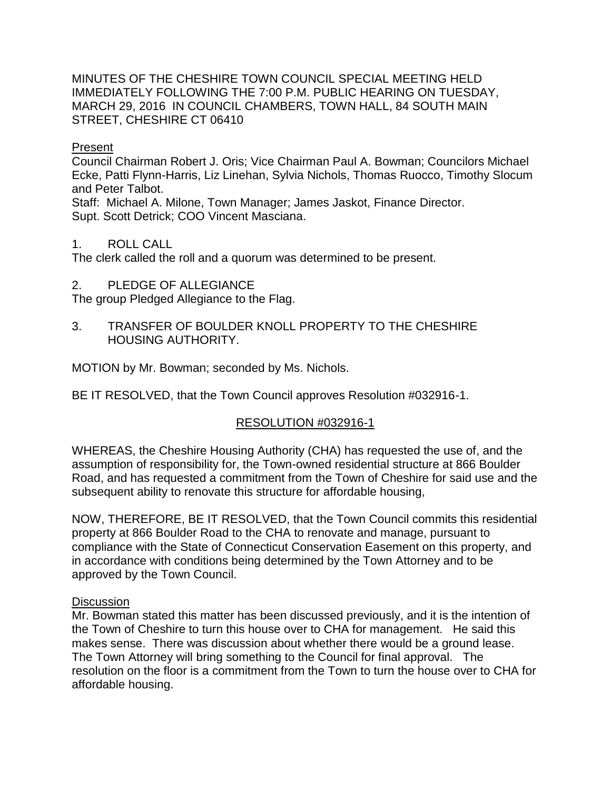MINUTES OF THE CHESHIRE TOWN COUNCIL SPECIAL MEETING HELD IMMEDIATELY FOLLOWING THE 7:00 P.M. PUBLIC HEARING ON TUESDAY, MARCH 29, 2016 IN COUNCIL CHAMBERS, TOWN HALL, 84 SOUTH MAIN STREET, CHESHIRE CT 06410

## Present

Council Chairman Robert J. Oris; Vice Chairman Paul A. Bowman; Councilors Michael Ecke, Patti Flynn-Harris, Liz Linehan, Sylvia Nichols, Thomas Ruocco, Timothy Slocum and Peter Talbot.

Staff: Michael A. Milone, Town Manager; James Jaskot, Finance Director. Supt. Scott Detrick; COO Vincent Masciana.

## 1. ROLL CALL

The clerk called the roll and a quorum was determined to be present.

2. PLEDGE OF ALLEGIANCE

The group Pledged Allegiance to the Flag.

3. TRANSFER OF BOULDER KNOLL PROPERTY TO THE CHESHIRE HOUSING AUTHORITY.

MOTION by Mr. Bowman; seconded by Ms. Nichols.

BE IT RESOLVED, that the Town Council approves Resolution #032916-1.

## RESOLUTION #032916-1

WHEREAS, the Cheshire Housing Authority (CHA) has requested the use of, and the assumption of responsibility for, the Town-owned residential structure at 866 Boulder Road, and has requested a commitment from the Town of Cheshire for said use and the subsequent ability to renovate this structure for affordable housing,

NOW, THEREFORE, BE IT RESOLVED, that the Town Council commits this residential property at 866 Boulder Road to the CHA to renovate and manage, pursuant to compliance with the State of Connecticut Conservation Easement on this property, and in accordance with conditions being determined by the Town Attorney and to be approved by the Town Council.

## **Discussion**

Mr. Bowman stated this matter has been discussed previously, and it is the intention of the Town of Cheshire to turn this house over to CHA for management. He said this makes sense. There was discussion about whether there would be a ground lease. The Town Attorney will bring something to the Council for final approval. The resolution on the floor is a commitment from the Town to turn the house over to CHA for affordable housing.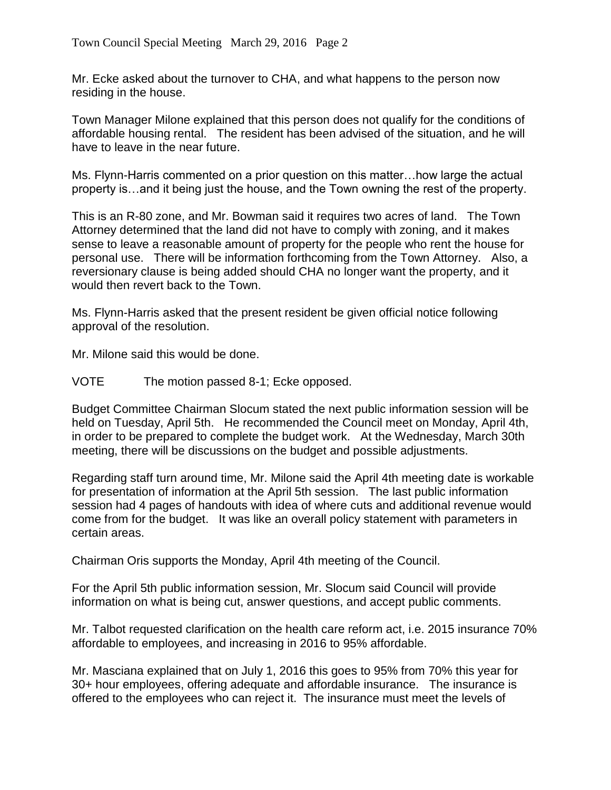Mr. Ecke asked about the turnover to CHA, and what happens to the person now residing in the house.

Town Manager Milone explained that this person does not qualify for the conditions of affordable housing rental. The resident has been advised of the situation, and he will have to leave in the near future.

Ms. Flynn-Harris commented on a prior question on this matter…how large the actual property is…and it being just the house, and the Town owning the rest of the property.

This is an R-80 zone, and Mr. Bowman said it requires two acres of land. The Town Attorney determined that the land did not have to comply with zoning, and it makes sense to leave a reasonable amount of property for the people who rent the house for personal use. There will be information forthcoming from the Town Attorney. Also, a reversionary clause is being added should CHA no longer want the property, and it would then revert back to the Town.

Ms. Flynn-Harris asked that the present resident be given official notice following approval of the resolution.

Mr. Milone said this would be done.

VOTE The motion passed 8-1; Ecke opposed.

Budget Committee Chairman Slocum stated the next public information session will be held on Tuesday, April 5th. He recommended the Council meet on Monday, April 4th, in order to be prepared to complete the budget work. At the Wednesday, March 30th meeting, there will be discussions on the budget and possible adjustments.

Regarding staff turn around time, Mr. Milone said the April 4th meeting date is workable for presentation of information at the April 5th session. The last public information session had 4 pages of handouts with idea of where cuts and additional revenue would come from for the budget. It was like an overall policy statement with parameters in certain areas.

Chairman Oris supports the Monday, April 4th meeting of the Council.

For the April 5th public information session, Mr. Slocum said Council will provide information on what is being cut, answer questions, and accept public comments.

Mr. Talbot requested clarification on the health care reform act, i.e. 2015 insurance 70% affordable to employees, and increasing in 2016 to 95% affordable.

Mr. Masciana explained that on July 1, 2016 this goes to 95% from 70% this year for 30+ hour employees, offering adequate and affordable insurance. The insurance is offered to the employees who can reject it. The insurance must meet the levels of